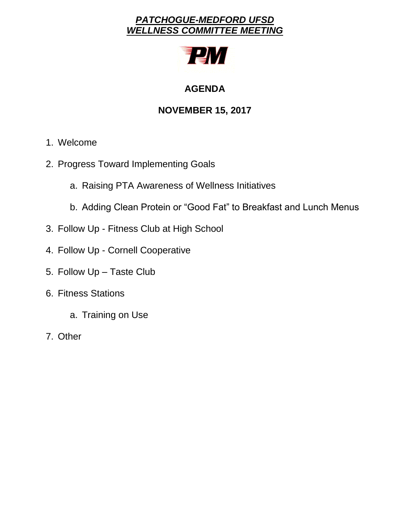# *PATCHOGUE-MEDFORD UFSD WELLNESS COMMITTEE MEETING*



# **AGENDA**

# **NOVEMBER 15, 2017**

- 1. Welcome
- 2. Progress Toward Implementing Goals
	- a. Raising PTA Awareness of Wellness Initiatives
	- b. Adding Clean Protein or "Good Fat" to Breakfast and Lunch Menus
- 3. Follow Up Fitness Club at High School
- 4. Follow Up Cornell Cooperative
- 5. Follow Up Taste Club
- 6. Fitness Stations
	- a. Training on Use
- 7. Other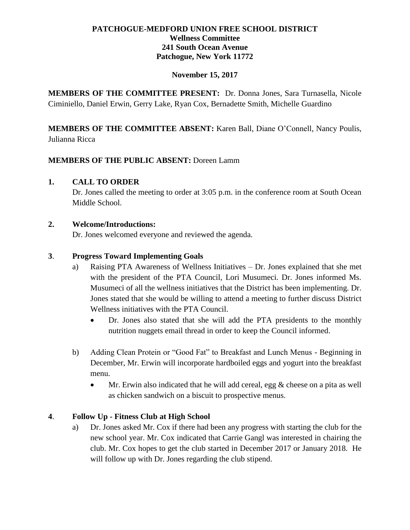# **PATCHOGUE-MEDFORD UNION FREE SCHOOL DISTRICT Wellness Committee 241 South Ocean Avenue Patchogue, New York 11772**

### **November 15, 2017**

**MEMBERS OF THE COMMITTEE PRESENT:** Dr. Donna Jones, Sara Turnasella, Nicole Ciminiello, Daniel Erwin, Gerry Lake, Ryan Cox, Bernadette Smith, Michelle Guardino

**MEMBERS OF THE COMMITTEE ABSENT:** Karen Ball, Diane O'Connell, Nancy Poulis, Julianna Ricca

#### **MEMBERS OF THE PUBLIC ABSENT:** Doreen Lamm

#### **1. CALL TO ORDER**

Dr. Jones called the meeting to order at 3:05 p.m. in the conference room at South Ocean Middle School.

#### **2. Welcome/Introductions:**

Dr. Jones welcomed everyone and reviewed the agenda.

#### **3**. **Progress Toward Implementing Goals**

- a) Raising PTA Awareness of Wellness Initiatives Dr. Jones explained that she met with the president of the PTA Council, Lori Musumeci. Dr. Jones informed Ms. Musumeci of all the wellness initiatives that the District has been implementing. Dr. Jones stated that she would be willing to attend a meeting to further discuss District Wellness initiatives with the PTA Council.
	- Dr. Jones also stated that she will add the PTA presidents to the monthly nutrition nuggets email thread in order to keep the Council informed.
- b) Adding Clean Protein or "Good Fat" to Breakfast and Lunch Menus Beginning in December, Mr. Erwin will incorporate hardboiled eggs and yogurt into the breakfast menu.
	- Mr. Erwin also indicated that he will add cereal, egg & cheese on a pita as well as chicken sandwich on a biscuit to prospective menus.

# **4**. **Follow Up - Fitness Club at High School**

a) Dr. Jones asked Mr. Cox if there had been any progress with starting the club for the new school year. Mr. Cox indicated that Carrie Gangl was interested in chairing the club. Mr. Cox hopes to get the club started in December 2017 or January 2018. He will follow up with Dr. Jones regarding the club stipend.